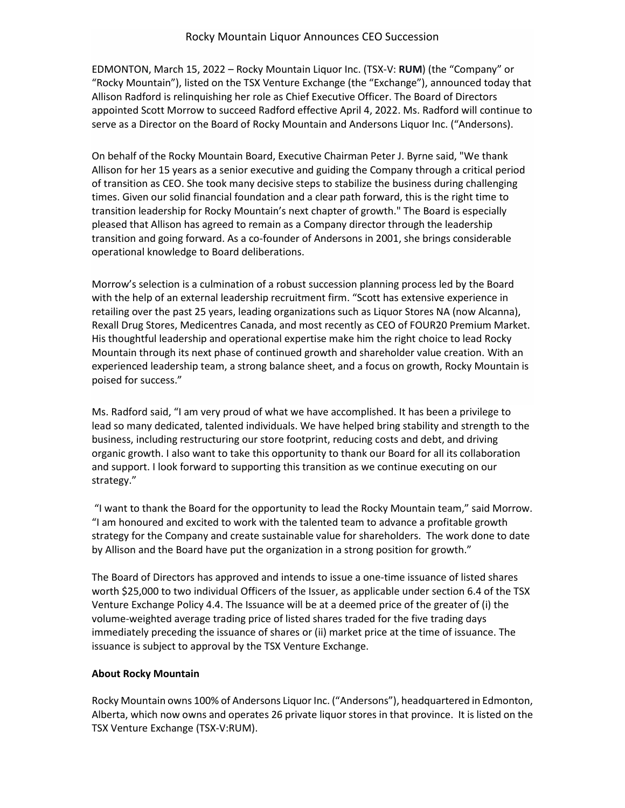EDMONTON, March 15, 2022 – Rocky Mountain Liquor Inc. (TSX-V: **RUM**) (the "Company" or "Rocky Mountain"), listed on the TSX Venture Exchange (the "Exchange"), announced today that Allison Radford is relinquishing her role as Chief Executive Officer. The Board of Directors appointed Scott Morrow to succeed Radford effective April 4, 2022. Ms. Radford will continue to serve as a Director on the Board of Rocky Mountain and Andersons Liquor Inc. ("Andersons).

On behalf of the Rocky Mountain Board, Executive Chairman Peter J. Byrne said, "We thank Allison for her 15 years as a senior executive and guiding the Company through a critical period of transition as CEO. She took many decisive steps to stabilize the business during challenging times. Given our solid financial foundation and a clear path forward, this is the right time to transition leadership for Rocky Mountain's next chapter of growth." The Board is especially pleased that Allison has agreed to remain as a Company director through the leadership transition and going forward. As a co-founder of Andersons in 2001, she brings considerable operational knowledge to Board deliberations.

Morrow's selection is a culmination of a robust succession planning process led by the Board with the help of an external leadership recruitment firm. "Scott has extensive experience in retailing over the past 25 years, leading organizations such as Liquor Stores NA (now Alcanna), Rexall Drug Stores, Medicentres Canada, and most recently as CEO of FOUR20 Premium Market. His thoughtful leadership and operational expertise make him the right choice to lead Rocky Mountain through its next phase of continued growth and shareholder value creation. With an experienced leadership team, a strong balance sheet, and a focus on growth, Rocky Mountain is poised for success."

Ms. Radford said, "I am very proud of what we have accomplished. It has been a privilege to lead so many dedicated, talented individuals. We have helped bring stability and strength to the business, including restructuring our store footprint, reducing costs and debt, and driving organic growth. I also want to take this opportunity to thank our Board for all its collaboration and support. I look forward to supporting this transition as we continue executing on our strategy."

"I want to thank the Board for the opportunity to lead the Rocky Mountain team," said Morrow. "I am honoured and excited to work with the talented team to advance a profitable growth strategy for the Company and create sustainable value for shareholders. The work done to date by Allison and the Board have put the organization in a strong position for growth."

The Board of Directors has approved and intends to issue a one-time issuance of listed shares worth \$25,000 to two individual Officers of the Issuer, as applicable under section 6.4 of the TSX Venture Exchange Policy 4.4. The Issuance will be at a deemed price of the greater of (i) the volume-weighted average trading price of listed shares traded for the five trading days immediately preceding the issuance of shares or (ii) market price at the time of issuance. The issuance is subject to approval by the TSX Venture Exchange.

## **About Rocky Mountain**

Rocky Mountain owns 100% of Andersons Liquor Inc. ("Andersons"), headquartered in Edmonton, Alberta, which now owns and operates 26 private liquor stores in that province. It is listed on the TSX Venture Exchange (TSX-V:RUM).